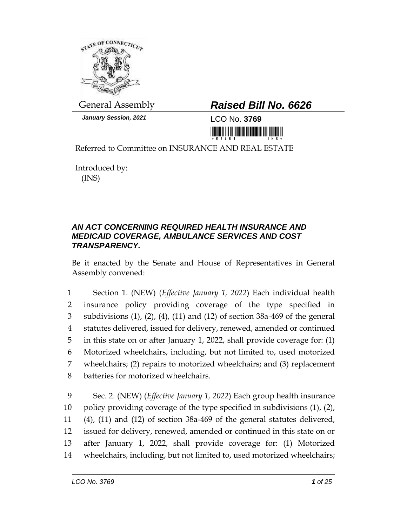

*January Session, 2021* LCO No. **3769**

## General Assembly *Raised Bill No. 6626*

<u> III AN AN DI MARA NA MATATA NA MATATA NA MATATA NA MATATA NA MATATA NA MATATA NA MATATA NA MATATA NA MATATA N</u>

Referred to Committee on INSURANCE AND REAL ESTATE

Introduced by: (INS)

## *AN ACT CONCERNING REQUIRED HEALTH INSURANCE AND MEDICAID COVERAGE, AMBULANCE SERVICES AND COST TRANSPARENCY.*

Be it enacted by the Senate and House of Representatives in General Assembly convened:

 Section 1. (NEW) (*Effective January 1, 2022*) Each individual health insurance policy providing coverage of the type specified in subdivisions (1), (2), (4), (11) and (12) of section 38a-469 of the general statutes delivered, issued for delivery, renewed, amended or continued in this state on or after January 1, 2022, shall provide coverage for: (1) Motorized wheelchairs, including, but not limited to, used motorized wheelchairs; (2) repairs to motorized wheelchairs; and (3) replacement batteries for motorized wheelchairs.

 Sec. 2. (NEW) (*Effective January 1, 2022*) Each group health insurance policy providing coverage of the type specified in subdivisions (1), (2), (4), (11) and (12) of section 38a-469 of the general statutes delivered, issued for delivery, renewed, amended or continued in this state on or after January 1, 2022, shall provide coverage for: (1) Motorized wheelchairs, including, but not limited to, used motorized wheelchairs;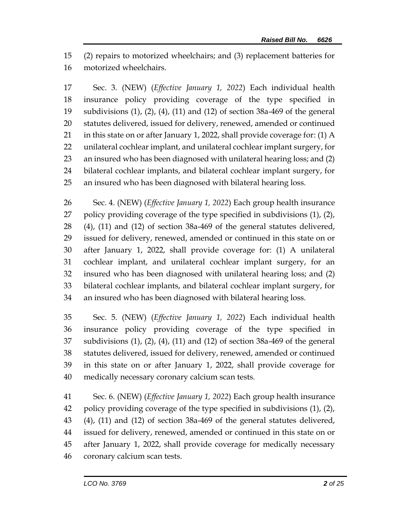(2) repairs to motorized wheelchairs; and (3) replacement batteries for motorized wheelchairs.

 Sec. 3. (NEW) (*Effective January 1, 2022*) Each individual health insurance policy providing coverage of the type specified in subdivisions (1), (2), (4), (11) and (12) of section 38a-469 of the general statutes delivered, issued for delivery, renewed, amended or continued in this state on or after January 1, 2022, shall provide coverage for: (1) A unilateral cochlear implant, and unilateral cochlear implant surgery, for an insured who has been diagnosed with unilateral hearing loss; and (2) bilateral cochlear implants, and bilateral cochlear implant surgery, for an insured who has been diagnosed with bilateral hearing loss.

 Sec. 4. (NEW) (*Effective January 1, 2022*) Each group health insurance policy providing coverage of the type specified in subdivisions (1), (2), (4), (11) and (12) of section 38a-469 of the general statutes delivered, issued for delivery, renewed, amended or continued in this state on or after January 1, 2022, shall provide coverage for: (1) A unilateral cochlear implant, and unilateral cochlear implant surgery, for an insured who has been diagnosed with unilateral hearing loss; and (2) bilateral cochlear implants, and bilateral cochlear implant surgery, for an insured who has been diagnosed with bilateral hearing loss.

 Sec. 5. (NEW) (*Effective January 1, 2022*) Each individual health insurance policy providing coverage of the type specified in subdivisions (1), (2), (4), (11) and (12) of section 38a-469 of the general statutes delivered, issued for delivery, renewed, amended or continued in this state on or after January 1, 2022, shall provide coverage for medically necessary coronary calcium scan tests.

 Sec. 6. (NEW) (*Effective January 1, 2022*) Each group health insurance policy providing coverage of the type specified in subdivisions (1), (2), (4), (11) and (12) of section 38a-469 of the general statutes delivered, issued for delivery, renewed, amended or continued in this state on or after January 1, 2022, shall provide coverage for medically necessary coronary calcium scan tests.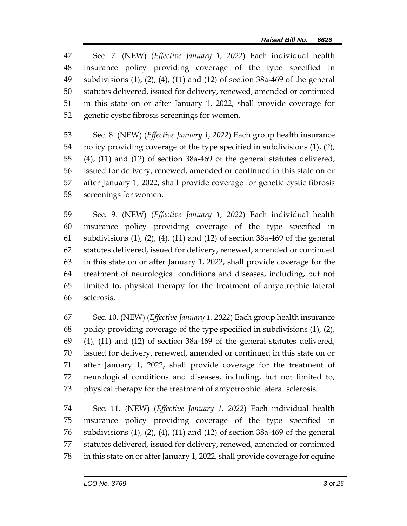Sec. 7. (NEW) (*Effective January 1, 2022*) Each individual health insurance policy providing coverage of the type specified in subdivisions (1), (2), (4), (11) and (12) of section 38a-469 of the general statutes delivered, issued for delivery, renewed, amended or continued in this state on or after January 1, 2022, shall provide coverage for genetic cystic fibrosis screenings for women.

 Sec. 8. (NEW) (*Effective January 1, 2022*) Each group health insurance policy providing coverage of the type specified in subdivisions (1), (2), (4), (11) and (12) of section 38a-469 of the general statutes delivered, issued for delivery, renewed, amended or continued in this state on or after January 1, 2022, shall provide coverage for genetic cystic fibrosis screenings for women.

 Sec. 9. (NEW) (*Effective January 1, 2022*) Each individual health insurance policy providing coverage of the type specified in subdivisions (1), (2), (4), (11) and (12) of section 38a-469 of the general statutes delivered, issued for delivery, renewed, amended or continued in this state on or after January 1, 2022, shall provide coverage for the treatment of neurological conditions and diseases, including, but not limited to, physical therapy for the treatment of amyotrophic lateral sclerosis.

 Sec. 10. (NEW) (*Effective January 1, 2022*) Each group health insurance policy providing coverage of the type specified in subdivisions (1), (2), (4), (11) and (12) of section 38a-469 of the general statutes delivered, issued for delivery, renewed, amended or continued in this state on or after January 1, 2022, shall provide coverage for the treatment of neurological conditions and diseases, including, but not limited to, physical therapy for the treatment of amyotrophic lateral sclerosis.

 Sec. 11. (NEW) (*Effective January 1, 2022*) Each individual health insurance policy providing coverage of the type specified in subdivisions (1), (2), (4), (11) and (12) of section 38a-469 of the general statutes delivered, issued for delivery, renewed, amended or continued in this state on or after January 1, 2022, shall provide coverage for equine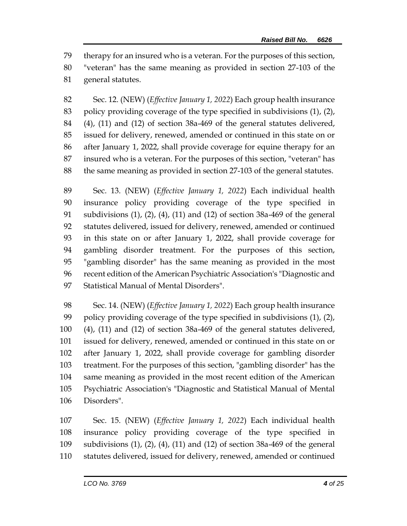therapy for an insured who is a veteran. For the purposes of this section, "veteran" has the same meaning as provided in section 27-103 of the general statutes.

 Sec. 12. (NEW) (*Effective January 1, 2022*) Each group health insurance policy providing coverage of the type specified in subdivisions (1), (2), (4), (11) and (12) of section 38a-469 of the general statutes delivered, issued for delivery, renewed, amended or continued in this state on or after January 1, 2022, shall provide coverage for equine therapy for an insured who is a veteran. For the purposes of this section, "veteran" has the same meaning as provided in section 27-103 of the general statutes.

 Sec. 13. (NEW) (*Effective January 1, 2022*) Each individual health insurance policy providing coverage of the type specified in subdivisions (1), (2), (4), (11) and (12) of section 38a-469 of the general statutes delivered, issued for delivery, renewed, amended or continued in this state on or after January 1, 2022, shall provide coverage for gambling disorder treatment. For the purposes of this section, "gambling disorder" has the same meaning as provided in the most recent edition of the American Psychiatric Association's "Diagnostic and Statistical Manual of Mental Disorders".

 Sec. 14. (NEW) (*Effective January 1, 2022*) Each group health insurance policy providing coverage of the type specified in subdivisions (1), (2), (4), (11) and (12) of section 38a-469 of the general statutes delivered, issued for delivery, renewed, amended or continued in this state on or after January 1, 2022, shall provide coverage for gambling disorder treatment. For the purposes of this section, "gambling disorder" has the same meaning as provided in the most recent edition of the American Psychiatric Association's "Diagnostic and Statistical Manual of Mental Disorders".

 Sec. 15. (NEW) (*Effective January 1, 2022*) Each individual health insurance policy providing coverage of the type specified in subdivisions (1), (2), (4), (11) and (12) of section 38a-469 of the general statutes delivered, issued for delivery, renewed, amended or continued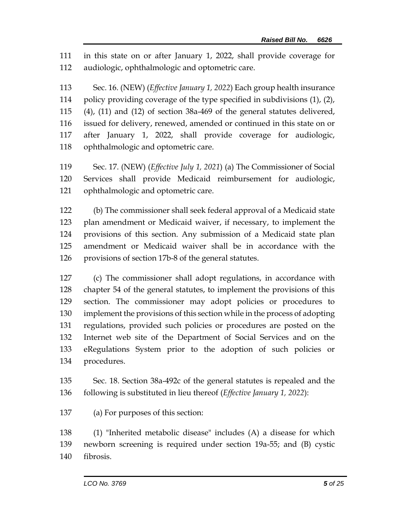in this state on or after January 1, 2022, shall provide coverage for audiologic, ophthalmologic and optometric care.

 Sec. 16. (NEW) (*Effective January 1, 2022*) Each group health insurance policy providing coverage of the type specified in subdivisions (1), (2), (4), (11) and (12) of section 38a-469 of the general statutes delivered, issued for delivery, renewed, amended or continued in this state on or after January 1, 2022, shall provide coverage for audiologic, ophthalmologic and optometric care.

 Sec. 17. (NEW) (*Effective July 1, 2021*) (a) The Commissioner of Social Services shall provide Medicaid reimbursement for audiologic, ophthalmologic and optometric care.

 (b) The commissioner shall seek federal approval of a Medicaid state plan amendment or Medicaid waiver, if necessary, to implement the provisions of this section. Any submission of a Medicaid state plan amendment or Medicaid waiver shall be in accordance with the provisions of section 17b-8 of the general statutes.

 (c) The commissioner shall adopt regulations, in accordance with chapter 54 of the general statutes, to implement the provisions of this section. The commissioner may adopt policies or procedures to implement the provisions of this section while in the process of adopting regulations, provided such policies or procedures are posted on the Internet web site of the Department of Social Services and on the eRegulations System prior to the adoption of such policies or procedures.

 Sec. 18. Section 38a-492c of the general statutes is repealed and the following is substituted in lieu thereof (*Effective January 1, 2022*):

(a) For purposes of this section:

 (1) "Inherited metabolic disease" includes (A) a disease for which newborn screening is required under section 19a-55; and (B) cystic fibrosis.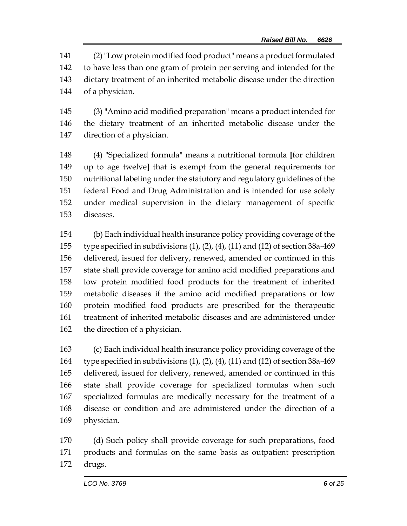(2)"Low protein modified food product" means a product formulated to have less than one gram of protein per serving and intended for the dietary treatment of an inherited metabolic disease under the direction of a physician.

 (3) "Amino acid modified preparation" means a product intended for the dietary treatment of an inherited metabolic disease under the direction of a physician.

 (4) "Specialized formula" means a nutritional formula **[**for children up to age twelve**]** that is exempt from the general requirements for nutritional labeling under the statutory and regulatory guidelines of the federal Food and Drug Administration and is intended for use solely under medical supervision in the dietary management of specific diseases.

 (b) Each individual health insurance policy providing coverage of the type specified in subdivisions (1), (2), (4), (11) and (12) of section 38a-469 delivered, issued for delivery, renewed, amended or continued in this state shall provide coverage for amino acid modified preparations and low protein modified food products for the treatment of inherited metabolic diseases if the amino acid modified preparations or low protein modified food products are prescribed for the therapeutic treatment of inherited metabolic diseases and are administered under the direction of a physician.

 (c) Each individual health insurance policy providing coverage of the type specified in subdivisions (1), (2), (4), (11) and (12) of section 38a-469 delivered, issued for delivery, renewed, amended or continued in this state shall provide coverage for specialized formulas when such specialized formulas are medically necessary for the treatment of a disease or condition and are administered under the direction of a physician.

 (d) Such policy shall provide coverage for such preparations, food products and formulas on the same basis as outpatient prescription drugs.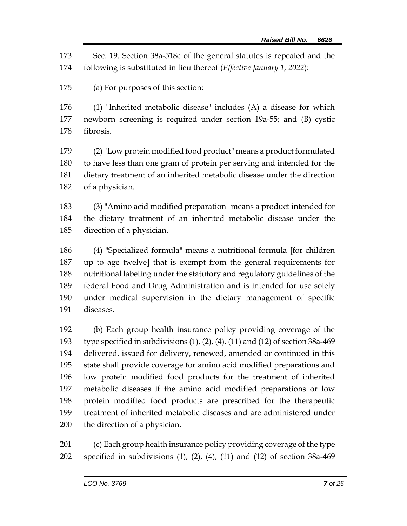Sec. 19. Section 38a-518c of the general statutes is repealed and the following is substituted in lieu thereof (*Effective January 1, 2022*):

(a) For purposes of this section:

 (1) "Inherited metabolic disease" includes (A) a disease for which newborn screening is required under section 19a-55; and (B) cystic fibrosis.

 (2)"Low protein modified food product" means a product formulated to have less than one gram of protein per serving and intended for the dietary treatment of an inherited metabolic disease under the direction of a physician.

 (3) "Amino acid modified preparation" means a product intended for the dietary treatment of an inherited metabolic disease under the direction of a physician.

 (4) "Specialized formula" means a nutritional formula **[**for children up to age twelve**]** that is exempt from the general requirements for nutritional labeling under the statutory and regulatory guidelines of the federal Food and Drug Administration and is intended for use solely under medical supervision in the dietary management of specific diseases.

 (b) Each group health insurance policy providing coverage of the type specified in subdivisions (1), (2), (4), (11) and (12) of section 38a-469 delivered, issued for delivery, renewed, amended or continued in this state shall provide coverage for amino acid modified preparations and low protein modified food products for the treatment of inherited metabolic diseases if the amino acid modified preparations or low protein modified food products are prescribed for the therapeutic treatment of inherited metabolic diseases and are administered under the direction of a physician.

 (c) Each group health insurance policy providing coverage of the type specified in subdivisions (1), (2), (4), (11) and (12) of section 38a-469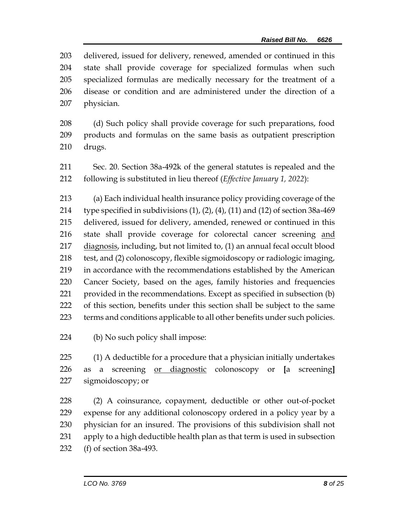delivered, issued for delivery, renewed, amended or continued in this state shall provide coverage for specialized formulas when such specialized formulas are medically necessary for the treatment of a disease or condition and are administered under the direction of a physician.

 (d) Such policy shall provide coverage for such preparations, food products and formulas on the same basis as outpatient prescription drugs.

 Sec. 20. Section 38a-492k of the general statutes is repealed and the following is substituted in lieu thereof (*Effective January 1, 2022*):

 (a) Each individual health insurance policy providing coverage of the 214 type specified in subdivisions  $(1)$ ,  $(2)$ ,  $(4)$ ,  $(11)$  and  $(12)$  of section 38a-469 delivered, issued for delivery, amended, renewed or continued in this state shall provide coverage for colorectal cancer screening and diagnosis, including, but not limited to, (1) an annual fecal occult blood test, and (2) colonoscopy, flexible sigmoidoscopy or radiologic imaging, in accordance with the recommendations established by the American Cancer Society, based on the ages, family histories and frequencies provided in the recommendations. Except as specified in subsection (b) of this section, benefits under this section shall be subject to the same terms and conditions applicable to all other benefits under such policies.

(b) No such policy shall impose:

 (1) A deductible for a procedure that a physician initially undertakes as a screening or diagnostic colonoscopy or **[**a screening**]** sigmoidoscopy; or

 (2) A coinsurance, copayment, deductible or other out-of-pocket expense for any additional colonoscopy ordered in a policy year by a physician for an insured. The provisions of this subdivision shall not apply to a high deductible health plan as that term is used in subsection (f) of section 38a-493.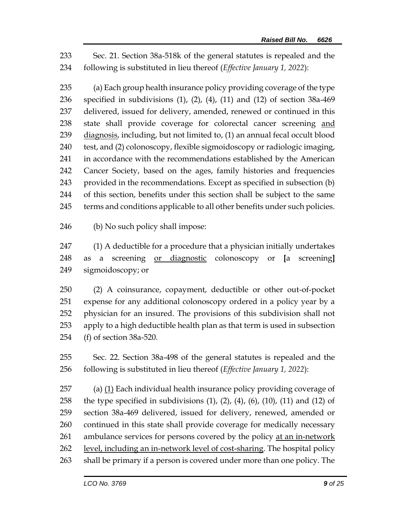Sec. 21. Section 38a-518k of the general statutes is repealed and the following is substituted in lieu thereof (*Effective January 1, 2022*):

 (a) Each group health insurance policy providing coverage of the type specified in subdivisions (1), (2), (4), (11) and (12) of section 38a-469 delivered, issued for delivery, amended, renewed or continued in this state shall provide coverage for colorectal cancer screening and diagnosis, including, but not limited to, (1) an annual fecal occult blood test, and (2) colonoscopy, flexible sigmoidoscopy or radiologic imaging, in accordance with the recommendations established by the American Cancer Society, based on the ages, family histories and frequencies provided in the recommendations. Except as specified in subsection (b) of this section, benefits under this section shall be subject to the same 245 terms and conditions applicable to all other benefits under such policies.

(b) No such policy shall impose:

 (1) A deductible for a procedure that a physician initially undertakes as a screening or diagnostic colonoscopy or **[**a screening**]** sigmoidoscopy; or

 (2) A coinsurance, copayment, deductible or other out-of-pocket expense for any additional colonoscopy ordered in a policy year by a physician for an insured. The provisions of this subdivision shall not apply to a high deductible health plan as that term is used in subsection (f) of section 38a-520.

 Sec. 22. Section 38a-498 of the general statutes is repealed and the following is substituted in lieu thereof (*Effective January 1, 2022*):

257 (a)  $(1)$  Each individual health insurance policy providing coverage of 258 the type specified in subdivisions  $(1)$ ,  $(2)$ ,  $(4)$ ,  $(6)$ ,  $(10)$ ,  $(11)$  and  $(12)$  of section 38a-469 delivered, issued for delivery, renewed, amended or continued in this state shall provide coverage for medically necessary 261 ambulance services for persons covered by the policy at an in-network 262 level, including an in-network level of cost-sharing. The hospital policy shall be primary if a person is covered under more than one policy. The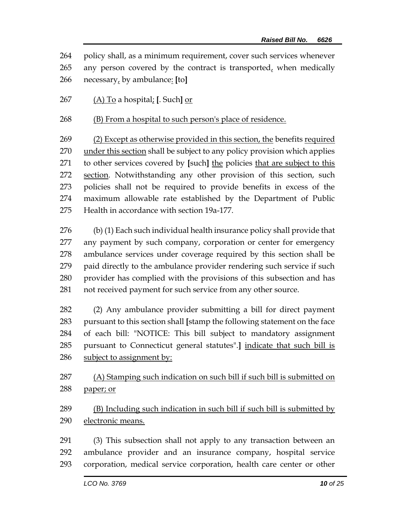policy shall, as a minimum requirement, cover such services whenever any person covered by the contract is transported, when medically necessary, by ambulance: **[**to**]**

(A) To a hospital; **[**. Such**]** or

(B) From a hospital to such person's place of residence.

 (2) Except as otherwise provided in this section, the benefits required 270 under this section shall be subject to any policy provision which applies to other services covered by **[**such**]** the policies that are subject to this 272 section. Notwithstanding any other provision of this section, such policies shall not be required to provide benefits in excess of the maximum allowable rate established by the Department of Public Health in accordance with section 19a-177.

 (b) (1) Each such individual health insurance policy shall provide that any payment by such company, corporation or center for emergency ambulance services under coverage required by this section shall be paid directly to the ambulance provider rendering such service if such provider has complied with the provisions of this subsection and has not received payment for such service from any other source.

 (2) Any ambulance provider submitting a bill for direct payment pursuant to this section shall **[**stamp the following statement on the face of each bill: "NOTICE: This bill subject to mandatory assignment pursuant to Connecticut general statutes".**]** indicate that such bill is 286 subject to assignment by:

 (A) Stamping such indication on such bill if such bill is submitted on 288 paper; or

 (B) Including such indication in such bill if such bill is submitted by electronic means.

 (3) This subsection shall not apply to any transaction between an ambulance provider and an insurance company, hospital service corporation, medical service corporation, health care center or other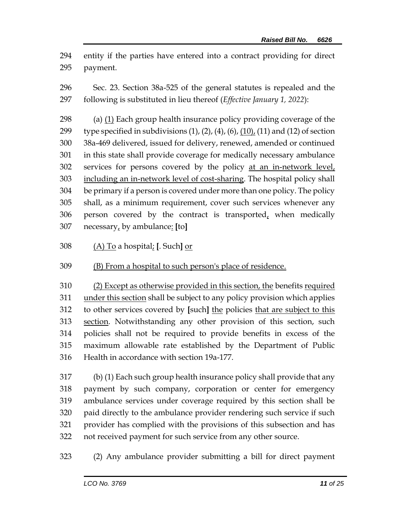entity if the parties have entered into a contract providing for direct payment.

 Sec. 23. Section 38a-525 of the general statutes is repealed and the following is substituted in lieu thereof (*Effective January 1, 2022*):

 (a) (1) Each group health insurance policy providing coverage of the 299 type specified in subdivisions  $(1)$ ,  $(2)$ ,  $(4)$ ,  $(6)$ ,  $(10)$ ,  $(11)$  and  $(12)$  of section 38a-469 delivered, issued for delivery, renewed, amended or continued in this state shall provide coverage for medically necessary ambulance 302 services for persons covered by the policy at an in-network level, including an in-network level of cost-sharing. The hospital policy shall be primary if a person is covered under more than one policy. The policy shall, as a minimum requirement, cover such services whenever any person covered by the contract is transported, when medically necessary, by ambulance: **[**to**]**

(A) To a hospital; **[**. Such**]** or

(B) From a hospital to such person's place of residence.

 (2) Except as otherwise provided in this section, the benefits required under this section shall be subject to any policy provision which applies to other services covered by **[**such**]** the policies that are subject to this section. Notwithstanding any other provision of this section, such policies shall not be required to provide benefits in excess of the maximum allowable rate established by the Department of Public Health in accordance with section 19a-177.

 (b) (1) Each such group health insurance policy shall provide that any payment by such company, corporation or center for emergency ambulance services under coverage required by this section shall be paid directly to the ambulance provider rendering such service if such provider has complied with the provisions of this subsection and has not received payment for such service from any other source.

(2) Any ambulance provider submitting a bill for direct payment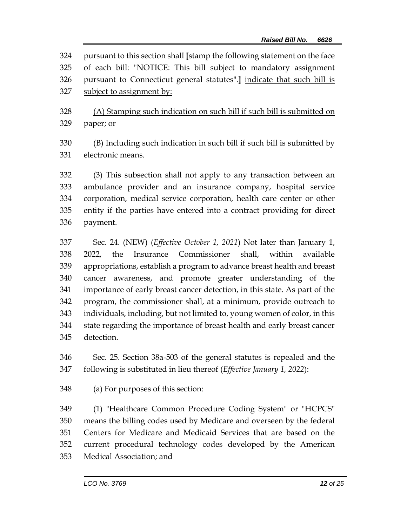pursuant to this section shall **[**stamp the following statement on the face of each bill: "NOTICE: This bill subject to mandatory assignment pursuant to Connecticut general statutes".**]** indicate that such bill is subject to assignment by:

 (A) Stamping such indication on such bill if such bill is submitted on paper; or

 (B) Including such indication in such bill if such bill is submitted by electronic means.

 (3) This subsection shall not apply to any transaction between an ambulance provider and an insurance company, hospital service corporation, medical service corporation, health care center or other entity if the parties have entered into a contract providing for direct payment.

 Sec. 24. (NEW) (*Effective October 1, 2021*) Not later than January 1, 2022, the Insurance Commissioner shall, within available appropriations, establish a program to advance breast health and breast cancer awareness, and promote greater understanding of the importance of early breast cancer detection, in this state. As part of the program, the commissioner shall, at a minimum, provide outreach to individuals, including, but not limited to, young women of color, in this state regarding the importance of breast health and early breast cancer detection.

 Sec. 25. Section 38a-503 of the general statutes is repealed and the following is substituted in lieu thereof (*Effective January 1, 2022*):

(a) For purposes of this section:

 (1) "Healthcare Common Procedure Coding System" or "HCPCS" means the billing codes used by Medicare and overseen by the federal Centers for Medicare and Medicaid Services that are based on the current procedural technology codes developed by the American Medical Association; and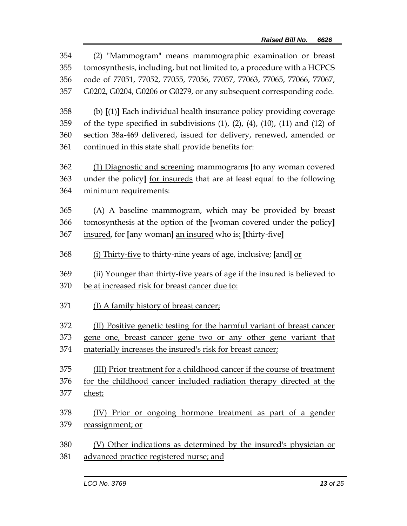| 354<br>355<br>356 | (2) "Mammogram" means mammographic examination or breast<br>tomosynthesis, including, but not limited to, a procedure with a HCPCS<br>code of 77051, 77052, 77055, 77056, 77057, 77063, 77065, 77066, 77067, |
|-------------------|--------------------------------------------------------------------------------------------------------------------------------------------------------------------------------------------------------------|
| 357               | G0202, G0204, G0206 or G0279, or any subsequent corresponding code.                                                                                                                                          |
| 358               | (b) [(1)] Each individual health insurance policy providing coverage                                                                                                                                         |
| 359               | of the type specified in subdivisions $(1)$ , $(2)$ , $(4)$ , $(10)$ , $(11)$ and $(12)$ of                                                                                                                  |
| 360               | section 38a-469 delivered, issued for delivery, renewed, amended or                                                                                                                                          |
| 361               | continued in this state shall provide benefits for:                                                                                                                                                          |
| 362               | (1) Diagnostic and screening mammograms [to any woman covered                                                                                                                                                |
| 363               | under the policy] for insureds that are at least equal to the following                                                                                                                                      |
| 364               | minimum requirements:                                                                                                                                                                                        |
| 365               | (A) A baseline mammogram, which may be provided by breast                                                                                                                                                    |
| 366               | tomosynthesis at the option of the [woman covered under the policy]                                                                                                                                          |
| 367               | insured, for [any woman] an insured who is: [thirty-five]                                                                                                                                                    |
| 368               | (i) Thirty-five to thirty-nine years of age, inclusive; [and] or                                                                                                                                             |
| 369               | (ii) Younger than thirty-five years of age if the insured is believed to                                                                                                                                     |
| 370               | be at increased risk for breast cancer due to:                                                                                                                                                               |
| 371               | (I) A family history of breast cancer;                                                                                                                                                                       |
| 372               | (II) Positive genetic testing for the harmful variant of breast cancer                                                                                                                                       |
| 373               | gene one, breast cancer gene two or any other gene variant that                                                                                                                                              |
| 374               | materially increases the insured's risk for breast cancer;                                                                                                                                                   |
| 375               | (III) Prior treatment for a childhood cancer if the course of treatment                                                                                                                                      |
| 376               | for the childhood cancer included radiation therapy directed at the                                                                                                                                          |
| 377               | chest;                                                                                                                                                                                                       |
| 378               | Prior or ongoing hormone treatment as part of a gender<br>(IV)                                                                                                                                               |
| 379               | reassignment; or                                                                                                                                                                                             |
| 380               | (V) Other indications as determined by the insured's physician or                                                                                                                                            |
| 381               | advanced practice registered nurse; and                                                                                                                                                                      |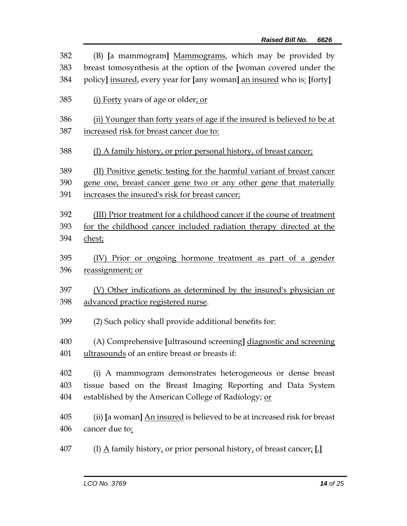| 382 | (B) [a mammogram] Mammograms, which may be provided by                               |
|-----|--------------------------------------------------------------------------------------|
| 383 | breast tomosynthesis at the option of the [woman covered under the                   |
| 384 | policy] insured, every year for [any woman] an insured who is: [forty]               |
| 385 | (i) Forty years of age or older; or                                                  |
| 386 | (ii) Younger than forty years of age if the insured is believed to be at             |
| 387 | increased risk for breast cancer due to:                                             |
| 388 | (I) A family history, or prior personal history, of breast cancer;                   |
| 389 | (II) Positive genetic testing for the harmful variant of breast cancer               |
| 390 | gene one, breast cancer gene two or any other gene that materially                   |
| 391 | increases the insured's risk for breast cancer;                                      |
| 392 | (III) Prior treatment for a childhood cancer if the course of treatment              |
| 393 | for the childhood cancer included radiation therapy directed at the                  |
| 394 | chest;                                                                               |
| 395 | (IV) Prior or ongoing hormone treatment as part of a gender                          |
| 396 | reassignment; or                                                                     |
| 397 | (V) Other indications as determined by the insured's physician or                    |
| 398 | advanced practice registered nurse.                                                  |
| 399 | (2) Such policy shall provide additional benefits for:                               |
| 400 | (A) Comprehensive [ultrasound screening] diagnostic and screening                    |
| 401 | ultrasounds of an entire breast or breasts if:                                       |
| 402 | (i) A mammogram demonstrates heterogeneous or dense breast                           |
| 403 | tissue based on the Breast Imaging Reporting and Data System                         |
| 404 | established by the American College of Radiology; or                                 |
| 405 | (ii) [a woman] An insured is believed to be at increased risk for breast             |
| 406 | cancer due to:                                                                       |
| 407 | (I) $\underline{A}$ family history, or prior personal history, of breast cancer; [J] |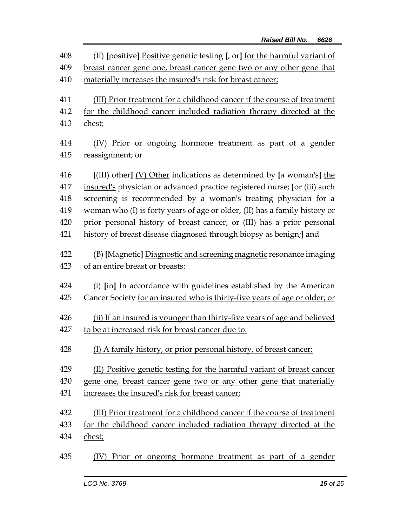| 408 | (II) [positive] Positive genetic testing [, or] <u>for the harmful variant of</u> |
|-----|-----------------------------------------------------------------------------------|
| 409 | breast cancer gene one, breast cancer gene two or any other gene that             |
| 410 | materially increases the insured's risk for breast cancer;                        |
| 411 | (III) Prior treatment for a childhood cancer if the course of treatment           |
| 412 | for the childhood cancer included radiation therapy directed at the               |
| 413 | chest;                                                                            |
| 414 | (IV) Prior or ongoing hormone treatment as part of a gender                       |
| 415 | reassignment; or                                                                  |
| 416 | $[$ (III) other] $(V)$ Other indications as determined by [a woman's] the         |
| 417 | insured's physician or advanced practice registered nurse; [or (iii) such         |
| 418 | screening is recommended by a woman's treating physician for a                    |
| 419 | woman who (I) is forty years of age or older, (II) has a family history or        |
| 420 | prior personal history of breast cancer, or (III) has a prior personal            |
| 421 | history of breast disease diagnosed through biopsy as benign;] and                |
| 422 | (B) [Magnetic] Diagnostic and screening magnetic resonance imaging                |
| 423 | of an entire breast or breasts:                                                   |
| 424 | (i) [in] In accordance with guidelines established by the American                |
| 425 | Cancer Society for an insured who is thirty-five years of age or older; or        |
| 426 | (ii) If an insured is younger than thirty-five years of age and believed          |
| 427 | to be at increased risk for breast cancer due to:                                 |
| 428 | (I) A family history, or prior personal history, of breast cancer;                |
| 429 | (II) Positive genetic testing for the harmful variant of breast cancer            |
| 430 | gene one, breast cancer gene two or any other gene that materially                |
| 431 | increases the insured's risk for breast cancer;                                   |
| 432 | (III) Prior treatment for a childhood cancer if the course of treatment           |
| 433 | for the childhood cancer included radiation therapy directed at the               |
| 434 | chest;                                                                            |
| 435 | Prior or ongoing hormone treatment as part of a gender<br>(IV)                    |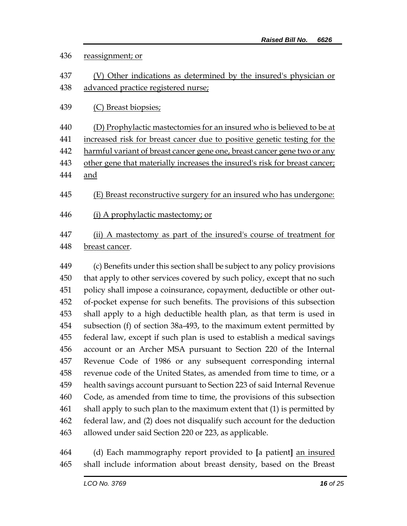## reassignment; or (V) Other indications as determined by the insured's physician or advanced practice registered nurse; (C) Breast biopsies; (D) Prophylactic mastectomies for an insured who is believed to be at increased risk for breast cancer due to positive genetic testing for the 442 harmful variant of breast cancer gene one, breast cancer gene two or any 443 other gene that materially increases the insured's risk for breast cancer; and (E) Breast reconstructive surgery for an insured who has undergone: (i) A prophylactic mastectomy; or (ii) A mastectomy as part of the insured's course of treatment for breast cancer. (c) Benefits under this section shall be subject to any policy provisions that apply to other services covered by such policy, except that no such policy shall impose a coinsurance, copayment, deductible or other out- of-pocket expense for such benefits. The provisions of this subsection shall apply to a high deductible health plan, as that term is used in subsection (f) of section 38a-493, to the maximum extent permitted by federal law, except if such plan is used to establish a medical savings

 (d) Each mammography report provided to **[**a patient**]** an insured shall include information about breast density, based on the Breast

allowed under said Section 220 or 223, as applicable.

 account or an Archer MSA pursuant to Section 220 of the Internal Revenue Code of 1986 or any subsequent corresponding internal revenue code of the United States, as amended from time to time, or a health savings account pursuant to Section 223 of said Internal Revenue Code, as amended from time to time, the provisions of this subsection shall apply to such plan to the maximum extent that (1) is permitted by federal law, and (2) does not disqualify such account for the deduction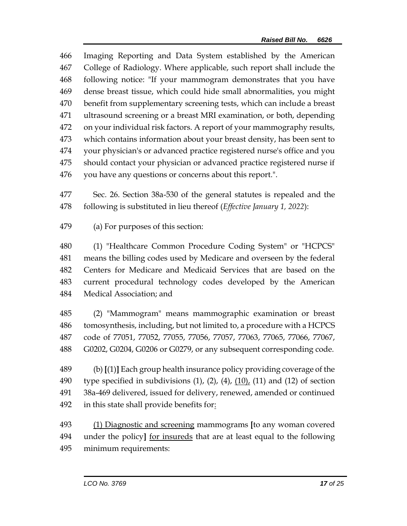Imaging Reporting and Data System established by the American College of Radiology. Where applicable, such report shall include the following notice: "If your mammogram demonstrates that you have dense breast tissue, which could hide small abnormalities, you might benefit from supplementary screening tests, which can include a breast ultrasound screening or a breast MRI examination, or both, depending on your individual risk factors. A report of your mammography results, which contains information about your breast density, has been sent to your physician's or advanced practice registered nurse's office and you should contact your physician or advanced practice registered nurse if you have any questions or concerns about this report.".

 Sec. 26. Section 38a-530 of the general statutes is repealed and the following is substituted in lieu thereof (*Effective January 1, 2022*):

(a) For purposes of this section:

 (1) "Healthcare Common Procedure Coding System" or "HCPCS" means the billing codes used by Medicare and overseen by the federal Centers for Medicare and Medicaid Services that are based on the current procedural technology codes developed by the American Medical Association; and

 (2) "Mammogram" means mammographic examination or breast tomosynthesis, including, but not limited to, a procedure with a HCPCS code of 77051, 77052, 77055, 77056, 77057, 77063, 77065, 77066, 77067, G0202, G0204, G0206 or G0279, or any subsequent corresponding code.

 (b) **[**(1)**]** Each group health insurance policy providing coverage of the 490 type specified in subdivisions  $(1)$ ,  $(2)$ ,  $(4)$ ,  $(10)$ ,  $(11)$  and  $(12)$  of section 38a-469 delivered, issued for delivery, renewed, amended or continued 492 in this state shall provide benefits for:

 (1) Diagnostic and screening mammograms **[**to any woman covered under the policy**]** for insureds that are at least equal to the following minimum requirements: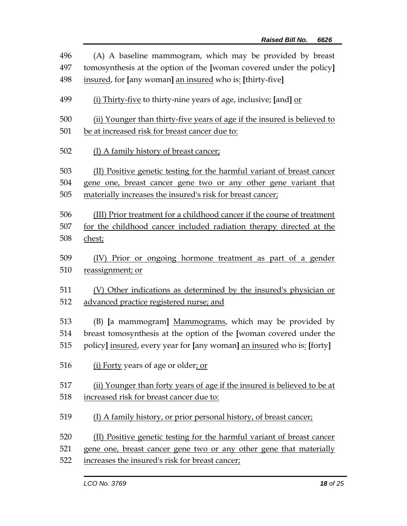| 496 | (A) A baseline mammogram, which may be provided by breast                |
|-----|--------------------------------------------------------------------------|
| 497 | tomosynthesis at the option of the [woman covered under the policy]      |
| 498 | insured, for [any woman] an insured who is: [thirty-five]                |
| 499 | (i) Thirty-five to thirty-nine years of age, inclusive; [and] or         |
| 500 | (ii) Younger than thirty-five years of age if the insured is believed to |
| 501 | be at increased risk for breast cancer due to:                           |
| 502 | (I) A family history of breast cancer;                                   |
| 503 | (II) Positive genetic testing for the harmful variant of breast cancer   |
| 504 | gene one, breast cancer gene two or any other gene variant that          |
| 505 | materially increases the insured's risk for breast cancer;               |
| 506 | (III) Prior treatment for a childhood cancer if the course of treatment  |
| 507 | for the childhood cancer included radiation therapy directed at the      |
| 508 | chest;                                                                   |
| 509 | (IV) Prior or ongoing hormone treatment as part of a gender              |
| 510 | reassignment; or                                                         |
| 511 | (V) Other indications as determined by the insured's physician or        |
| 512 | advanced practice registered nurse; and                                  |
| 513 | (B) [a mammogram] Mammograms, which may be provided by                   |
| 514 | breast tomosynthesis at the option of the [woman covered under the       |
| 515 | policy] insured, every year for [any woman] an insured who is: [forty]   |
| 516 | (i) Forty years of age or older; or                                      |
| 517 | (ii) Younger than forty years of age if the insured is believed to be at |
| 518 | increased risk for breast cancer due to:                                 |
| 519 | (I) A family history, or prior personal history, of breast cancer;       |
| 520 | (II) Positive genetic testing for the harmful variant of breast cancer   |
| 521 | gene one, breast cancer gene two or any other gene that materially       |
| 522 | increases the insured's risk for breast cancer;                          |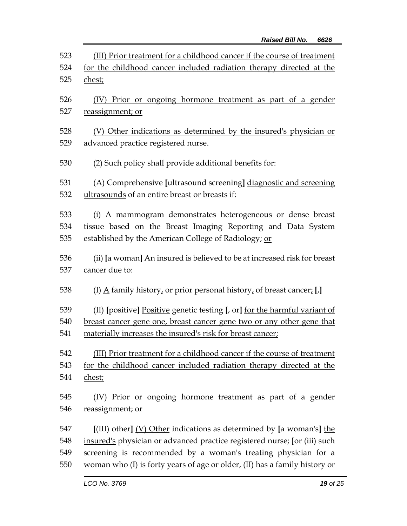| 523 | (III) Prior treatment for a childhood cancer if the course of treatment                                                                                                            |
|-----|------------------------------------------------------------------------------------------------------------------------------------------------------------------------------------|
| 524 | for the childhood cancer included radiation therapy directed at the                                                                                                                |
| 525 | chest;                                                                                                                                                                             |
| 526 | Prior or ongoing hormone treatment as part of a gender                                                                                                                             |
| 527 | reassignment; or                                                                                                                                                                   |
| 528 | (V) Other indications as determined by the insured's physician or                                                                                                                  |
| 529 | advanced practice registered nurse.                                                                                                                                                |
| 530 | (2) Such policy shall provide additional benefits for:                                                                                                                             |
| 531 | (A) Comprehensive [ultrasound screening] diagnostic and screening                                                                                                                  |
| 532 | ultrasounds of an entire breast or breasts if:                                                                                                                                     |
| 533 | (i) A mammogram demonstrates heterogeneous or dense breast                                                                                                                         |
| 534 | tissue based on the Breast Imaging Reporting and Data System                                                                                                                       |
| 535 | established by the American College of Radiology; or                                                                                                                               |
| 536 | (ii) [a woman] An insured is believed to be at increased risk for breast                                                                                                           |
| 537 | cancer due to:                                                                                                                                                                     |
| 538 | (I) $\underline{A}$ family history, or prior personal history, of breast cancer; [J]                                                                                               |
| 539 | (II) [positive] Positive genetic testing [, or] <u>for the harmful variant of</u>                                                                                                  |
| 540 | breast cancer gene one, breast cancer gene two or any other gene that                                                                                                              |
| 541 | materially increases the insured's risk for breast cancer;                                                                                                                         |
| 542 | (III) Prior treatment for a childhood cancer if the course of treatment                                                                                                            |
| 543 | for the childhood cancer included radiation therapy directed at the                                                                                                                |
| 544 | chest;                                                                                                                                                                             |
| 545 | (IV) Prior or ongoing hormone treatment as part of a gender                                                                                                                        |
| 546 | reassignment; or                                                                                                                                                                   |
| 547 | $\left[ \frac{\text{[III]}}{\text{[III]}} \right]$ other $\left[ \frac{\text{[V]}}{\text{[III]}} \right]$ other indications as determined by $\left[ \text{a woman's} \right]$ the |
| 548 | insured's physician or advanced practice registered nurse; [or (iii) such                                                                                                          |
| 549 | screening is recommended by a woman's treating physician for a                                                                                                                     |
| 550 | woman who (I) is forty years of age or older, (II) has a family history or                                                                                                         |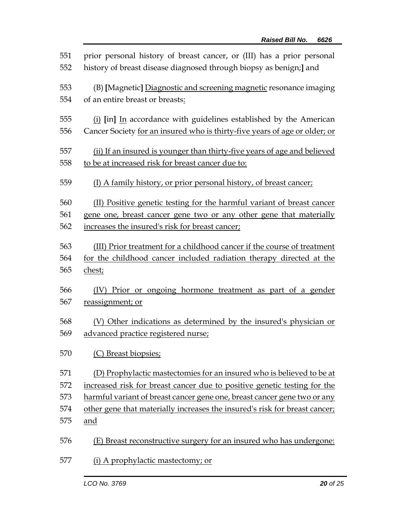| 551<br>552 | prior personal history of breast cancer, or (III) has a prior personal<br>history of breast disease diagnosed through biopsy as benign;] and     |
|------------|--------------------------------------------------------------------------------------------------------------------------------------------------|
| 553<br>554 | (B) [Magnetic] Diagnostic and screening magnetic resonance imaging<br>of an entire breast or breasts:                                            |
| 555<br>556 | (i) [in] In accordance with guidelines established by the American<br>Cancer Society for an insured who is thirty-five years of age or older; or |
| 557        | (ii) If an insured is younger than thirty-five years of age and believed                                                                         |
| 558        | to be at increased risk for breast cancer due to:                                                                                                |
| 559        | (I) A family history, or prior personal history, of breast cancer;                                                                               |
| 560        | (II) Positive genetic testing for the harmful variant of breast cancer                                                                           |
| 561        | gene one, breast cancer gene two or any other gene that materially                                                                               |
| 562        | increases the insured's risk for breast cancer;                                                                                                  |
| 563        | (III) Prior treatment for a childhood cancer if the course of treatment                                                                          |
| 564        | for the childhood cancer included radiation therapy directed at the                                                                              |
| 565        | chest;                                                                                                                                           |
| 566        | (IV) Prior or ongoing hormone treatment as part of a gender                                                                                      |
| 567        | reassignment; or                                                                                                                                 |
| 568        | (V) Other indications as determined by the insured's physician or                                                                                |
| 569        | advanced practice registered nurse;                                                                                                              |
| 570        | (C) Breast biopsies;                                                                                                                             |
| 571        | (D) Prophylactic mastectomies for an insured who is believed to be at                                                                            |
| 572        | increased risk for breast cancer due to positive genetic testing for the                                                                         |
| 573        | harmful variant of breast cancer gene one, breast cancer gene two or any                                                                         |
| 574        | other gene that materially increases the insured's risk for breast cancer;                                                                       |
| 575        | and                                                                                                                                              |
| 576        | (E) Breast reconstructive surgery for an insured who has undergone:                                                                              |
| 577        | (i) A prophylactic mastectomy; or                                                                                                                |
|            |                                                                                                                                                  |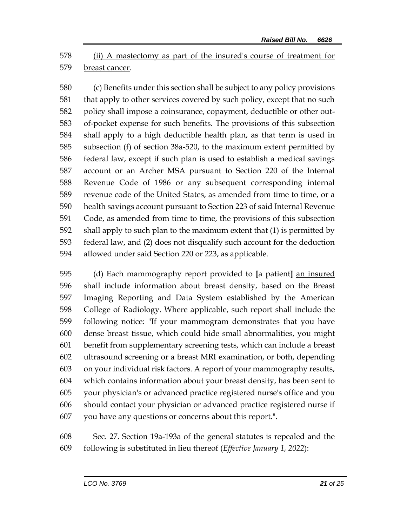(ii) A mastectomy as part of the insured's course of treatment for breast cancer.

 (c) Benefits under this section shall be subject to any policy provisions that apply to other services covered by such policy, except that no such policy shall impose a coinsurance, copayment, deductible or other out- of-pocket expense for such benefits. The provisions of this subsection shall apply to a high deductible health plan, as that term is used in subsection (f) of section 38a-520, to the maximum extent permitted by federal law, except if such plan is used to establish a medical savings account or an Archer MSA pursuant to Section 220 of the Internal Revenue Code of 1986 or any subsequent corresponding internal revenue code of the United States, as amended from time to time, or a health savings account pursuant to Section 223 of said Internal Revenue Code, as amended from time to time, the provisions of this subsection shall apply to such plan to the maximum extent that (1) is permitted by federal law, and (2) does not disqualify such account for the deduction allowed under said Section 220 or 223, as applicable.

 (d) Each mammography report provided to **[**a patient**]** an insured shall include information about breast density, based on the Breast Imaging Reporting and Data System established by the American College of Radiology. Where applicable, such report shall include the following notice: "If your mammogram demonstrates that you have dense breast tissue, which could hide small abnormalities, you might benefit from supplementary screening tests, which can include a breast ultrasound screening or a breast MRI examination, or both, depending on your individual risk factors. A report of your mammography results, which contains information about your breast density, has been sent to your physician's or advanced practice registered nurse's office and you should contact your physician or advanced practice registered nurse if you have any questions or concerns about this report.".

 Sec. 27. Section 19a-193a of the general statutes is repealed and the following is substituted in lieu thereof (*Effective January 1, 2022*):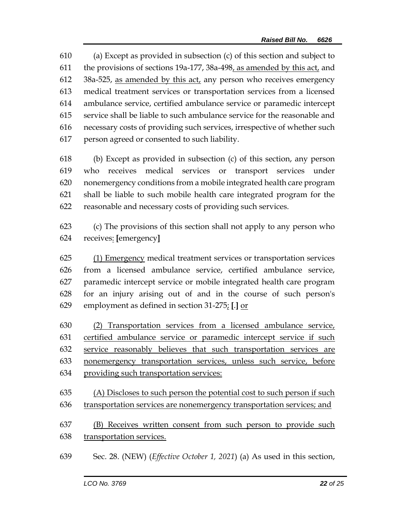(a) Except as provided in subsection (c) of this section and subject to the provisions of sections 19a-177, 38a-498, as amended by this act, and  $38a-525$ , as amended by this act, any person who receives emergency medical treatment services or transportation services from a licensed ambulance service, certified ambulance service or paramedic intercept service shall be liable to such ambulance service for the reasonable and necessary costs of providing such services, irrespective of whether such person agreed or consented to such liability.

- (b) Except as provided in subsection (c) of this section, any person who receives medical services or transport services under nonemergency conditions from a mobile integrated health care program shall be liable to such mobile health care integrated program for the reasonable and necessary costs of providing such services.
- (c) The provisions of this section shall not apply to any person who receives: **[**emergency**]**

 (1) Emergency medical treatment services or transportation services from a licensed ambulance service, certified ambulance service, paramedic intercept service or mobile integrated health care program for an injury arising out of and in the course of such person's employment as defined in section 31-275; **[**.**]** or

 (2) Transportation services from a licensed ambulance service, certified ambulance service or paramedic intercept service if such service reasonably believes that such transportation services are nonemergency transportation services, unless such service, before providing such transportation services:

 (A) Discloses to such person the potential cost to such person if such transportation services are nonemergency transportation services; and

 (B) Receives written consent from such person to provide such 638 transportation services.

Sec. 28. (NEW) (*Effective October 1, 2021*) (a) As used in this section,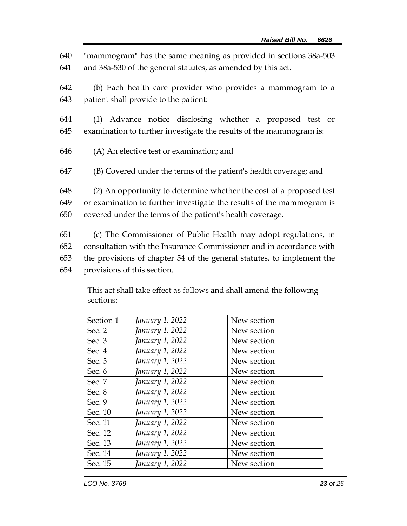640 "mammogram" has the same meaning as provided in sections 38a-503 641 and 38a-530 of the general statutes, as amended by this act.

642 (b) Each health care provider who provides a mammogram to a 643 patient shall provide to the patient:

644 (1) Advance notice disclosing whether a proposed test or 645 examination to further investigate the results of the mammogram is:

- 646 (A) An elective test or examination; and
- 647 (B) Covered under the terms of the patient's health coverage; and

648 (2) An opportunity to determine whether the cost of a proposed test 649 or examination to further investigate the results of the mammogram is 650 covered under the terms of the patient's health coverage.

 (c) The Commissioner of Public Health may adopt regulations, in consultation with the Insurance Commissioner and in accordance with the provisions of chapter 54 of the general statutes, to implement the provisions of this section.

This act shall take effect as follows and shall amend the following  $\overline{\phantom{a}}$ 

| sections: |                 |             |
|-----------|-----------------|-------------|
| Section 1 | January 1, 2022 | New section |
| Sec. $2$  | January 1, 2022 | New section |
| Sec. 3    | January 1, 2022 | New section |
| Sec. 4    | January 1, 2022 | New section |
| Sec. 5    | January 1, 2022 | New section |
| Sec. 6    | January 1, 2022 | New section |
| Sec. 7    | January 1, 2022 | New section |
| Sec. 8    | January 1, 2022 | New section |
| Sec. 9    | January 1, 2022 | New section |
| Sec. 10   | January 1, 2022 | New section |
| Sec. 11   | January 1, 2022 | New section |
| Sec. 12   | January 1, 2022 | New section |
| Sec. 13   | January 1, 2022 | New section |
| Sec. 14   | January 1, 2022 | New section |
| Sec. 15   | January 1, 2022 | New section |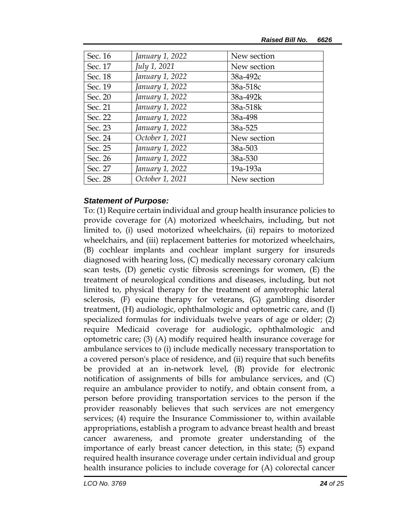| Sec. 16 | January 1, 2022 | New section |
|---------|-----------------|-------------|
| Sec. 17 | July 1, 2021    | New section |
| Sec. 18 | January 1, 2022 | 38a-492c    |
| Sec. 19 | January 1, 2022 | 38a-518c    |
| Sec. 20 | January 1, 2022 | 38a-492k    |
| Sec. 21 | January 1, 2022 | 38a-518k    |
| Sec. 22 | January 1, 2022 | 38a-498     |
| Sec. 23 | January 1, 2022 | 38a-525     |
| Sec. 24 | October 1, 2021 | New section |
| Sec. 25 | January 1, 2022 | 38a-503     |
| Sec. 26 | January 1, 2022 | 38a-530     |
| Sec. 27 | January 1, 2022 | 19a-193a    |
| Sec. 28 | October 1, 2021 | New section |

## *Statement of Purpose:*

To: (1) Require certain individual and group health insurance policies to provide coverage for (A) motorized wheelchairs, including, but not limited to, (i) used motorized wheelchairs, (ii) repairs to motorized wheelchairs, and (iii) replacement batteries for motorized wheelchairs, (B) cochlear implants and cochlear implant surgery for insureds diagnosed with hearing loss, (C) medically necessary coronary calcium scan tests, (D) genetic cystic fibrosis screenings for women, (E) the treatment of neurological conditions and diseases, including, but not limited to, physical therapy for the treatment of amyotrophic lateral sclerosis, (F) equine therapy for veterans, (G) gambling disorder treatment, (H) audiologic, ophthalmologic and optometric care, and (I) specialized formulas for individuals twelve years of age or older; (2) require Medicaid coverage for audiologic, ophthalmologic and optometric care; (3) (A) modify required health insurance coverage for ambulance services to (i) include medically necessary transportation to a covered person's place of residence, and (ii) require that such benefits be provided at an in-network level, (B) provide for electronic notification of assignments of bills for ambulance services, and (C) require an ambulance provider to notify, and obtain consent from, a person before providing transportation services to the person if the provider reasonably believes that such services are not emergency services; (4) require the Insurance Commissioner to, within available appropriations, establish a program to advance breast health and breast cancer awareness, and promote greater understanding of the importance of early breast cancer detection, in this state; (5) expand required health insurance coverage under certain individual and group health insurance policies to include coverage for (A) colorectal cancer